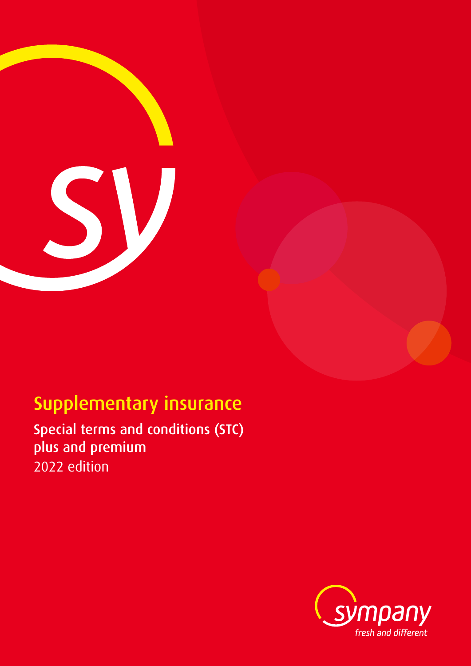

# Supplementary insurance

Special terms and conditions (STC) plus and premium 2022 edition

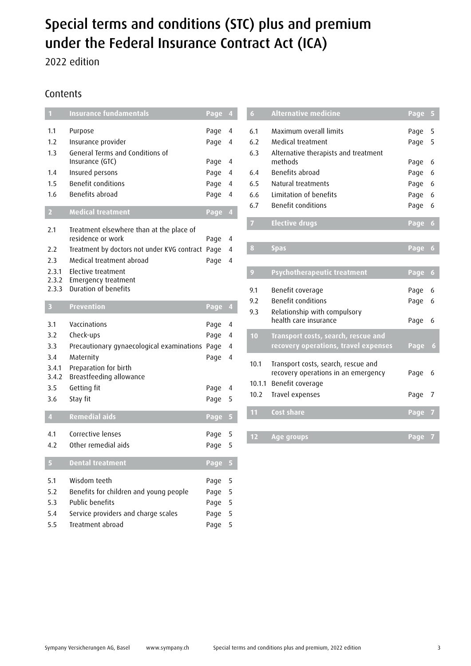## Special terms and conditions (STC) plus and premium under the Federal Insurance Contract Act (ICA)

2022 edition

### Contents

| $\mathbf{1}$            | <b>Insurance fundamentals</b>                           | Page 4 |                |
|-------------------------|---------------------------------------------------------|--------|----------------|
| 1.1                     | Purpose                                                 | Page   | 4              |
| 1.2                     | Insurance provider                                      | Page   | 4              |
| 1.3                     | General Terms and Conditions of                         |        |                |
|                         | Insurance (GTC)                                         | Page   | 4              |
| 1.4                     | Insured persons                                         | Page   | 4              |
| 1.5                     | <b>Benefit conditions</b><br>Benefits abroad            | Page   | 4              |
| 1.6                     |                                                         | Page   | 4              |
| $\overline{2}$          | <b>Medical treatment</b>                                | Page   | $\overline{4}$ |
| 2.1                     | Treatment elsewhere than at the place of                |        |                |
|                         | residence or work                                       | Page   | 4              |
| 2.2                     | Treatment by doctors not under KVG contract             | Page   | 4              |
| 2.3                     | Medical treatment abroad                                | Page   | 4              |
| 2.3.1                   | Elective treatment                                      |        |                |
| 2.3.2<br>2.3.3          | Emergency treatment<br>Duration of benefits             |        |                |
|                         |                                                         |        |                |
| 3                       | <b>Prevention</b>                                       | Page   | $\overline{4}$ |
| 3.1                     | Vaccinations                                            | Page   | 4              |
| 3.2                     | Check-ups                                               | Page   | 4              |
| 3.3                     | Precautionary gynaecological examinations               | Page   | 4              |
| 3.4                     | Maternity                                               | Page   | 4              |
| 3.4.1                   | Preparation for birth                                   |        |                |
| 3.4.2                   | Breastfeeding allowance                                 |        |                |
| 3.5                     | Getting fit                                             | Page   | 4              |
| 3.6                     | Stay fit                                                | Page   | 5              |
| $\overline{\mathbf{4}}$ |                                                         |        |                |
|                         | <b>Remedial aids</b>                                    | Page   | 5              |
| 4.1                     | Corrective lenses                                       | Page   | 5              |
| 4.2                     | Other remedial aids                                     | Page   | 5              |
|                         |                                                         |        |                |
|                         | <b>Dental treatment</b>                                 | Page   | 5              |
| 5.1                     | Wisdom teeth                                            | Page   | 5              |
| 5.2                     | Benefits for children and young people                  | Page   | 5              |
| 5.3                     | Public benefits                                         | Page   | 5              |
| 5.4                     | Service providers and charge scales<br>Treatment abroad | Page   | 5<br>5         |

| $\overline{6}$ | <b>Alternative medicine</b>          | Page | 5                |
|----------------|--------------------------------------|------|------------------|
| 6.1            | Maximum overall limits               | Page | 5                |
| 6.2            | Medical treatment                    | Page | 5                |
| 6.3            | Alternative therapists and treatment |      |                  |
|                | methods                              | Page | 6                |
| 6.4            | <b>Benefits abroad</b>               | Page | 6                |
| 6.5            | Natural treatments                   | Page | 6                |
| 6.6            | Limitation of benefits               | Page | 6                |
| 6.7            | <b>Benefit conditions</b>            | Page | 6                |
| $\overline{7}$ | <b>Elective drugs</b>                | Page | $\boldsymbol{6}$ |
|                |                                      |      |                  |
| 8              | <b>Spas</b>                          | Page | $\boldsymbol{6}$ |
|                |                                      |      |                  |
| $\overline{9}$ | <b>Psychotherapeutic treatment</b>   | Page | 6                |
| 9.1            | Benefit coverage                     | Page | 6                |
| 9.2            | Benefit conditions                   | Page | 6                |
| 9.3            | Relationship with compulsory         |      |                  |
|                | health care insurance                | Page | 6                |
| 10             | Transport costs, search, rescue and  |      |                  |
|                | recovery operations, travel expenses | Page | 6                |
| 10.1           | Transport costs, search, rescue and  |      |                  |
|                | recovery operations in an emergency  | Page | 6                |
| 10.1.1         | Benefit coverage                     |      |                  |
| 10.2           | Travel expenses                      | Page | 7                |
|                |                                      |      |                  |
| 11             | Cost share                           | Page | 7                |
|                |                                      |      |                  |
| 12             | Age groups                           | Page | 7                |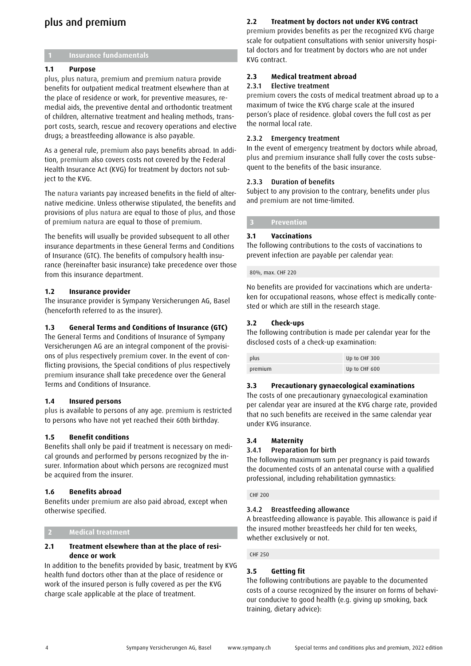## plus and premium

#### **1 Insurance fundamentals**

#### **1.1 Purpose**

plus, plus natura, premium and premium natura provide benefits for outpatient medical treatment elsewhere than at the place of residence or work, for preventive measures, remedial aids, the preventive dental and orthodontic treatment of children, alternative treatment and healing methods, transport costs, search, rescue and recovery operations and elective drugs; a breastfeeding allowance is also payable.

As a general rule, premium also pays benefits abroad. In addition, premium also covers costs not covered by the Federal Health Insurance Act (KVG) for treatment by doctors not subject to the KVG.

The natura variants pay increased benefits in the field of alternative medicine. Unless otherwise stipulated, the benefits and provisions of plus natura are equal to those of plus, and those of premium natura are equal to those of premium.

The benefits will usually be provided subsequent to all other insurance departments in these General Terms and Conditions of Insurance (GTC). The benefits of compulsory health insurance (hereinafter basic insurance) take precedence over those from this insurance department.

#### **1.2 Insurance provider**

The insurance provider is Sympany Versicherungen AG, Basel (henceforth referred to as the insurer).

#### **1.3 General Terms and Conditions of Insurance (GTC)**

The General Terms and Conditions of Insurance of Sympany Versicherungen AG are an integral component of the provisions of plus respectively premium cover. In the event of conflicting provisions, the Special conditions of plus respectively premium insurance shall take precedence over the General Terms and Conditions of Insurance.

#### **1.4 Insured persons**

plus is available to persons of any age. premium is restricted to persons who have not yet reached their 60th birthday.

#### **1.5 Benefit conditions**

Benefits shall only be paid if treatment is necessary on medical grounds and performed by persons recognized by the insurer. Information about which persons are recognized must be acquired from the insurer.

#### **1.6 Benefits abroad**

Benefits under premium are also paid abroad, except when otherwise specified.

#### **2 Medical treatment**

#### **2.1 Treatment elsewhere than at the place of residence or work**

In addition to the benefits provided by basic, treatment by KVG health fund doctors other than at the place of residence or work of the insured person is fully covered as per the KVG charge scale applicable at the place of treatment.

#### **2.2 Treatment by doctors not under KVG contract**

premium provides benefits as per the recognized KVG charge scale for outpatient consultations with senior university hospital doctors and for treatment by doctors who are not under KVG contract.

#### **2.3 Medical treatment abroad**

#### 2.3.1 Elective treatment

premium covers the costs of medical treatment abroad up to a maximum of twice the KVG charge scale at the insured person's place of residence. global covers the full cost as per the normal local rate.

#### 2.3.2 Emergency treatment

In the event of emergency treatment by doctors while abroad, plus and premium insurance shall fully cover the costs subsequent to the benefits of the basic insurance.

#### 2.3.3 Duration of benefits

Subject to any provision to the contrary, benefits under plus and premium are not time-limited.

#### **3 Prevention**

#### **3.1 Vaccinations**

The following contributions to the costs of vaccinations to prevent infection are payable per calendar year:

80%, max. CHF 220

No benefits are provided for vaccinations which are undertaken for occupational reasons, whose effect is medically contested or which are still in the research stage.

#### **3.2 Check-ups**

The following contribution is made per calendar year for the disclosed costs of a check-up examination:

| plus    | Up to CHF 300 |
|---------|---------------|
| premium | Up to CHF 600 |

#### **3.3 Precautionary gynaecological examinations**

The costs of one precautionary gynaecological examination per calendar year are insured at the KVG charge rate, provided that no such benefits are received in the same calendar year under KVG insurance.

#### **3.4 Maternity**

#### 3.4.1 Preparation for birth

The following maximum sum per pregnancy is paid towards the documented costs of an antenatal course with a qualified professional, including rehabilitation gymnastics:

#### CHF 200

#### 3.4.2 Breastfeeding allowance

A breastfeeding allowance is payable. This allowance is paid if the insured mother breastfeeds her child for ten weeks, whether exclusively or not.

#### CHF 250

#### **3.5 Getting fit**

The following contributions are payable to the documented costs of a course recognized by the insurer on forms of behaviour conducive to good health (e.g. giving up smoking, back training, dietary advice):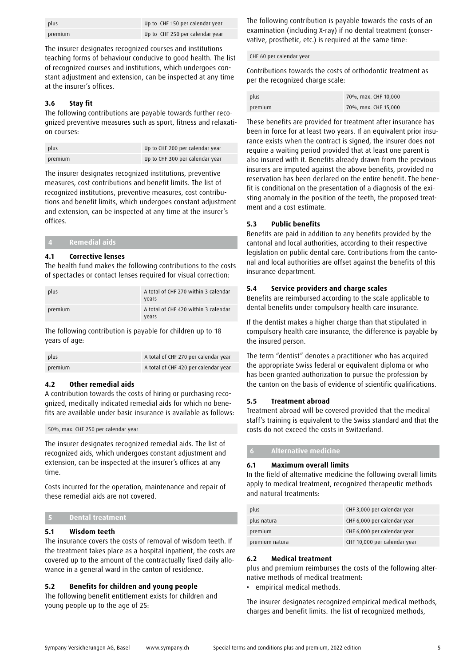| plus    | Up to CHF 150 per calendar year |
|---------|---------------------------------|
| premium | Up to CHF 250 per calendar year |

The insurer designates recognized courses and institutions teaching forms of behaviour conducive to good health. The list of recognized courses and institutions, which undergoes constant adjustment and extension, can be inspected at any time at the insurer's offices.

#### **3.6 Stay fit**

The following contributions are payable towards further recognized preventive measures such as sport, fitness and relaxation courses:

| plus    | Up to CHF 200 per calendar year |
|---------|---------------------------------|
| premium | Up to CHF 300 per calendar year |

The insurer designates recognized institutions, preventive measures, cost contributions and benefit limits. The list of recognized institutions, preventive measures, cost contributions and benefit limits, which undergoes constant adjustment and extension, can be inspected at any time at the insurer's offices.

| <b>Remedial aids</b> |  |
|----------------------|--|
|                      |  |

#### **4.1 Corrective lenses**

The health fund makes the following contributions to the costs of spectacles or contact lenses required for visual correction:

| plus    | A total of CHF 270 within 3 calendar<br>vears |
|---------|-----------------------------------------------|
| premium | A total of CHF 420 within 3 calendar<br>years |

The following contribution is payable for children up to 18 years of age:

| plus    | A total of CHF 270 per calendar year |
|---------|--------------------------------------|
| premium | A total of CHF 420 per calendar year |

#### **4.2 Other remedial aids**

A contribution towards the costs of hiring or purchasing recognized, medically indicated remedial aids for which no benefits are available under basic insurance is available as follows:

50%, max. CHF 250 per calendar year

The insurer designates recognized remedial aids. The list of recognized aids, which undergoes constant adjustment and extension, can be inspected at the insurer's offices at any time.

Costs incurred for the operation, maintenance and repair of these remedial aids are not covered.

#### **5 Dental treatment**

#### **5.1 Wisdom teeth**

The insurance covers the costs of removal of wisdom teeth. If the treatment takes place as a hospital inpatient, the costs are covered up to the amount of the contractually fixed daily allowance in a general ward in the canton of residence.

#### **5.2 Benefits for children and young people**

The following benefit entitlement exists for children and young people up to the age of 25:

The following contribution is payable towards the costs of an examination (including X-ray) if no dental treatment (conservative, prosthetic, etc.) is required at the same time:

#### CHF 60 per calendar year

Contributions towards the costs of orthodontic treatment as per the recognized charge scale:

| plus    | 70%, max. CHF 10,000 |
|---------|----------------------|
| premium | 70%, max. CHF 15,000 |

These benefits are provided for treatment after insurance has been in force for at least two years. If an equivalent prior insurance exists when the contract is signed, the insurer does not require a waiting period provided that at least one parent is also insured with it. Benefits already drawn from the previous insurers are imputed against the above benefits, provided no reservation has been declared on the entire benefit. The benefit is conditional on the presentation of a diagnosis of the existing anomaly in the position of the teeth, the proposed treatment and a cost estimate.

#### **5.3 Public benefits**

Benefits are paid in addition to any benefits provided by the cantonal and local authorities, according to their respective legislation on public dental care. Contributions from the cantonal and local authorities are offset against the benefits of this insurance department.

#### **5.4 Service providers and charge scales**

Benefits are reimbursed according to the scale applicable to dental benefits under compulsory health care insurance.

If the dentist makes a higher charge than that stipulated in compulsory health care insurance, the difference is payable by the insured person.

The term "dentist" denotes a practitioner who has acquired the appropriate Swiss federal or equivalent diploma or who has been granted authorization to pursue the profession by the canton on the basis of evidence of scientific qualifications.

#### **5.5 Treatment abroad**

Treatment abroad will be covered provided that the medical staff's training is equivalent to the Swiss standard and that the costs do not exceed the costs in Switzerland.

#### **6 Alternative medicine**

#### **6.1 Maximum overall limits**

In the field of alternative medicine the following overall limits apply to medical treatment, recognized therapeutic methods and natural treatments:

| plus           | CHF 3,000 per calendar year  |
|----------------|------------------------------|
| plus natura    | CHF 6,000 per calendar year  |
| premium        | CHF 6,000 per calendar year  |
| premium natura | CHF 10,000 per calendar year |

#### **6.2 Medical treatment**

plus and premium reimburses the costs of the following alternative methods of medical treatment:

• empirical medical methods.

The insurer designates recognized empirical medical methods, charges and benefit limits. The list of recognized methods,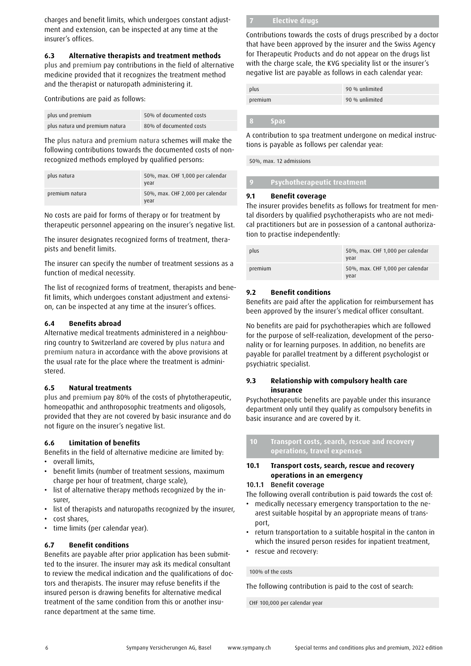charges and benefit limits, which undergoes constant adjustment and extension, can be inspected at any time at the insurer's offices.

#### **6.3 Alternative therapists and treatment methods**

plus and premium pay contributions in the field of alternative medicine provided that it recognizes the treatment method and the therapist or naturopath administering it.

Contributions are paid as follows:

| plus und premium               | 50% of documented costs |
|--------------------------------|-------------------------|
| plus natura und premium natura | 80% of documented costs |

The plus natura and premium natura schemes will make the following contributions towards the documented costs of nonrecognized methods employed by qualified persons:

| plus natura    | 50%, max. CHF 1,000 per calendar<br>vear |
|----------------|------------------------------------------|
| premium natura | 50%, max. CHF 2,000 per calendar<br>vear |

No costs are paid for forms of therapy or for treatment by therapeutic personnel appearing on the insurer's negative list.

The insurer designates recognized forms of treatment, therapists and benefit limits.

The insurer can specify the number of treatment sessions as a function of medical necessity.

The list of recognized forms of treatment, therapists and benefit limits, which undergoes constant adjustment and extension, can be inspected at any time at the insurer's offices.

#### **6.4 Benefits abroad**

Alternative medical treatments administered in a neighbouring country to Switzerland are covered by plus natura and premium natura in accordance with the above provisions at the usual rate for the place where the treatment is administered.

#### **6.5 Natural treatments**

plus and premium pay 80% of the costs of phytotherapeutic, homeopathic and anthroposophic treatments and oligosols, provided that they are not covered by basic insurance and do not figure on the insurer's negative list.

#### **6.6 Limitation of benefits**

Benefits in the field of alternative medicine are limited by:

- overall limits,
- benefit limits (number of treatment sessions, maximum charge per hour of treatment, charge scale),
- list of alternative therapy methods recognized by the insurer,
- list of therapists and naturopaths recognized by the insurer,
- cost shares,
- time limits (per calendar year).

#### **6.7 Benefit conditions**

Benefits are payable after prior application has been submitted to the insurer. The insurer may ask its medical consultant to review the medical indication and the qualifications of doctors and therapists. The insurer may refuse benefits if the insured person is drawing benefits for alternative medical treatment of the same condition from this or another insurance department at the same time.

#### **7 Elective drugs**

Contributions towards the costs of drugs prescribed by a doctor that have been approved by the insurer and the Swiss Agency for Therapeutic Products and do not appear on the drugs list with the charge scale, the KVG speciality list or the insurer's negative list are payable as follows in each calendar year:

| plus    | 90 % unlimited |
|---------|----------------|
| premium | 90 % unlimited |

#### **8 Spas**

A contribution to spa treatment undergone on medical instructions is payable as follows per calendar year:

50%, max. 12 admissions

#### **9 Psychotherapeutic treatment**

#### **9.1 Benefit coverage**

The insurer provides benefits as follows for treatment for mental disorders by qualified psychotherapists who are not medical practitioners but are in possession of a cantonal authorization to practise independently:

| plus    | 50%, max. CHF 1,000 per calendar<br>vear |
|---------|------------------------------------------|
| premium | 50%, max. CHF 1,000 per calendar<br>vear |

#### **9.2 Benefit conditions**

Benefits are paid after the application for reimbursement has been approved by the insurer's medical officer consultant.

No benefits are paid for psychotherapies which are followed for the purpose of self-realization, development of the personality or for learning purposes. In addition, no benefits are payable for parallel treatment by a different psychologist or psychiatric specialist.

#### **9.3 Relationship with compulsory health care insurance**

Psychotherapeutic benefits are payable under this insurance department only until they qualify as compulsory benefits in basic insurance and are covered by it.

**10 Transport costs, search, rescue and recovery operations, travel expenses** 

#### **10.1 Transport costs, search, rescue and recovery operations in an emergency**

#### 10.1.1 Benefit coverage

The following overall contribution is paid towards the cost of:

- medically necessary emergency transportation to the nearest suitable hospital by an appropriate means of transport,
- return transportation to a suitable hospital in the canton in which the insured person resides for inpatient treatment,
- rescue and recovery:

100% of the costs

The following contribution is paid to the cost of search:

CHF 100,000 per calendar year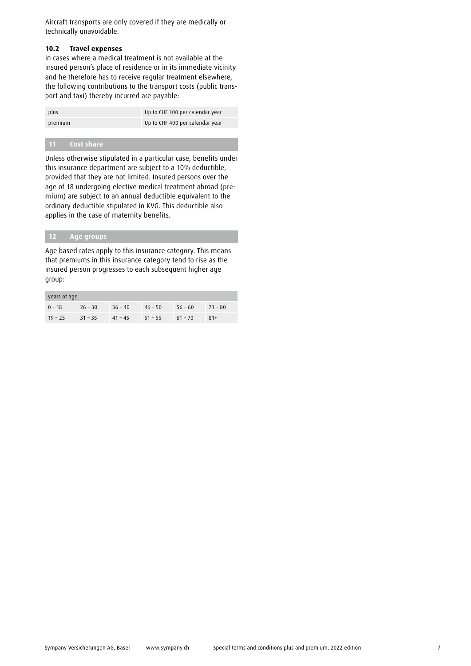Aircraft transports are only covered if they are medically or technically unavoidable.

#### **10.2 Travel expenses**

In cases where a medical treatment is not available at the insured person's place of residence or in its immediate vicinity and he therefore has to receive regular treatment elsewhere, the following contributions to the transport costs (public transport and taxi) thereby incurred are payable:

| plus    | Up to CHF 100 per calendar year |
|---------|---------------------------------|
| premium | Up to CHF 400 per calendar year |

#### **11 Cost share**

Unless otherwise stipulated in a particular case, benefits under this insurance department are subject to a 10% deductible, provided that they are not limited. Insured persons over the age of 18 undergoing elective medical treatment abroad (premium) are subject to an annual deductible equivalent to the ordinary deductible stipulated in KVG. This deductible also applies in the case of maternity benefits.

#### **12 Age groups**

Age based rates apply to this insurance category. This means that premiums in this insurance category tend to rise as the insured person progresses to each subsequent higher age group:

| years of age |           |                     |           |           |           |  |  |  |
|--------------|-----------|---------------------|-----------|-----------|-----------|--|--|--|
| $0 - 18$     | $26 - 30$ | $36 - 40$           | $46 - 50$ | $56 - 60$ | $71 - 80$ |  |  |  |
| $19 - 25$    | $31 - 35$ | $41 - 45$ $51 - 55$ |           | $61 - 70$ | $81+$     |  |  |  |